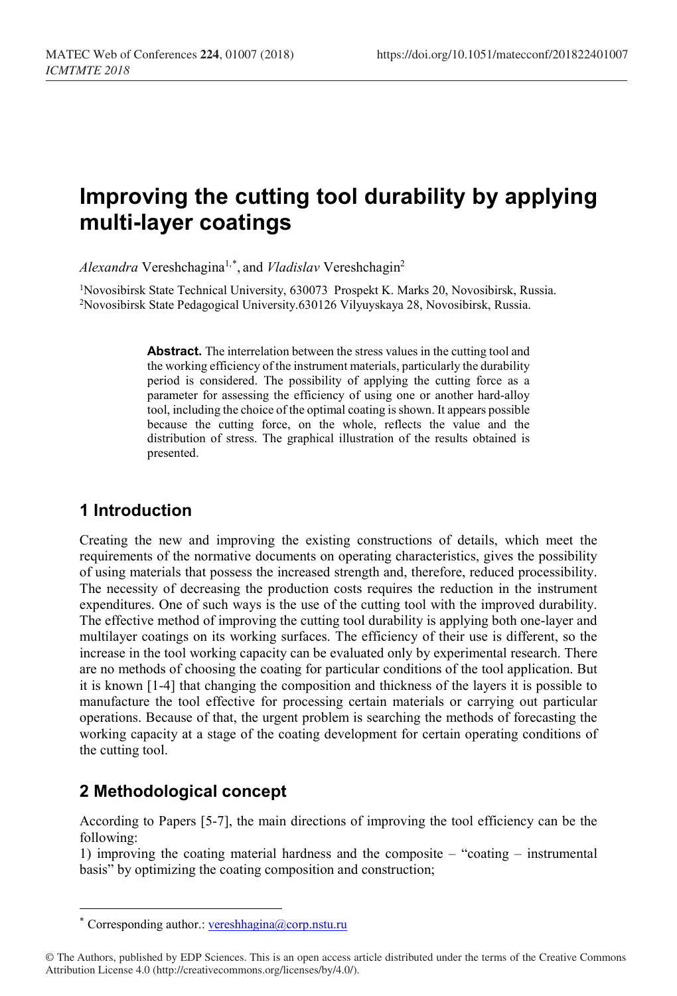# **Improving the cutting tool durability by applying multi-layer coatings**

Alexandra Vereshchagina<sup>1,[\\*](#page-0-0)</sup>, and *Vladislav* Vereshchagin<sup>2</sup>

1Novosibirsk State Technical University, 630073 Prospekt K. Marks 20, Novosibirsk, Russia. 2Novosibirsk State Pedagogical University.630126 Vilyuyskaya 28, Novosibirsk, Russia.

> **Abstract.** The interrelation between the stress values in the cutting tool and the working efficiency of the instrument materials, particularly the durability period is considered. The possibility of applying the cutting force as a parameter for assessing the efficiency of using one or another hard-alloy tool, including the choice of the optimal coating is shown. It appears possible because the cutting force, on the whole, reflects the value and the distribution of stress. The graphical illustration of the results obtained is presented.

### **1 Introduction**

Creating the new and improving the existing constructions of details, which meet the requirements of the normative documents on operating characteristics, gives the possibility of using materials that possess the increased strength and, therefore, reduced processibility. The necessity of decreasing the production costs requires the reduction in the instrument expenditures. One of such ways is the use of the cutting tool with the improved durability. The effective method of improving the cutting tool durability is applying both one-layer and multilayer coatings on its working surfaces. The efficiency of their use is different, so the increase in the tool working capacity can be evaluated only by experimental research. There are no methods of choosing the coating for particular conditions of the tool application. But it is known [1-4] that changing the composition and thickness of the layers it is possible to manufacture the tool effective for processing certain materials or carrying out particular operations. Because of that, the urgent problem is searching the methods of forecasting the working capacity at a stage of the coating development for certain operating conditions of the cutting tool.

## **2 Methodological concept**

 $\overline{\phantom{a}}$ 

According to Papers [5-7], the main directions of improving the tool efficiency can be the following:

1) improving the coating material hardness and the composite – "coating – instrumental basis" by optimizing the coating composition and construction;

<sup>\*</sup> Corresponding author.: vereshhagina@corp.nstu.ru

<span id="page-0-0"></span><sup>©</sup> The Authors, published by EDP Sciences. This is an open access article distributed under the terms of the Creative Commons Attribution License 4.0 (http://creativecommons.org/licenses/by/4.0/).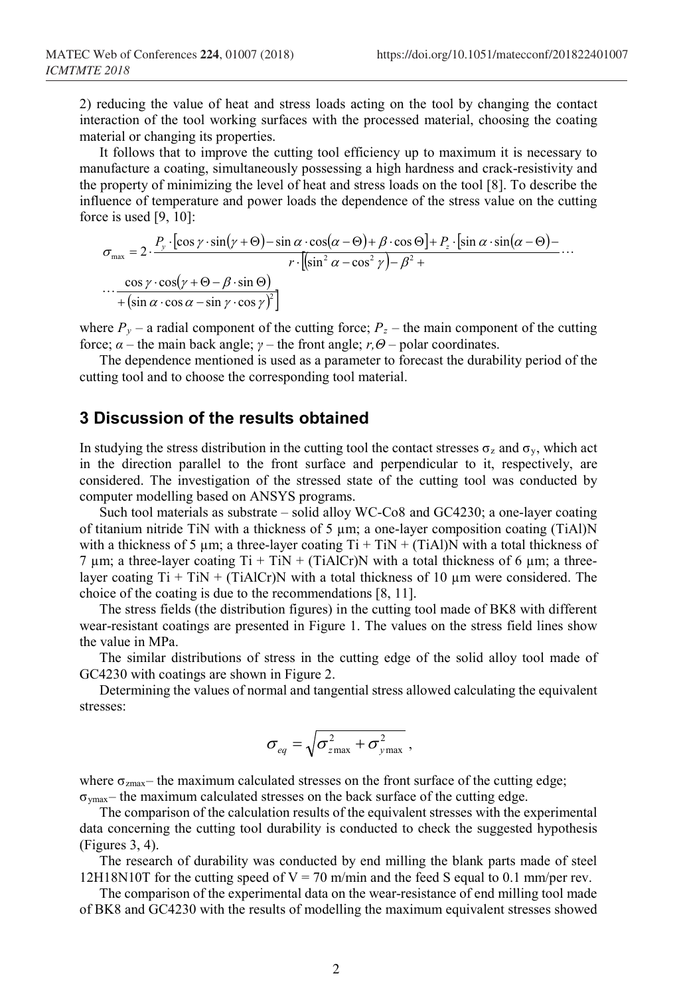2) reducing the value of heat and stress loads acting on the tool by changing the contact interaction of the tool working surfaces with the processed material, choosing the coating material or changing its properties.

It follows that to improve the cutting tool efficiency up to maximum it is necessary to manufacture a coating, simultaneously possessing a high hardness and crack-resistivity and the property of minimizing the level of heat and stress loads on the tool [8]. To describe the influence of temperature and power loads the dependence of the stress value on the cutting force is used [9, 10]:

$$
\sigma_{\max} = 2 \cdot \frac{P_y \cdot [\cos \gamma \cdot \sin(\gamma + \Theta) - \sin \alpha \cdot \cos(\alpha - \Theta) + \beta \cdot \cos \Theta] + P_z \cdot [\sin \alpha \cdot \sin(\alpha - \Theta) - \gamma \cdot \sin(\alpha - \Theta)]}{r \cdot [(\sin^2 \alpha - \cos^2 \gamma) - \beta^2 + \dots \cdot \cos \gamma \cdot \cos(\gamma + \Theta - \beta \cdot \sin \Theta)]}
$$

where  $P_y$  – a radial component of the cutting force;  $P_z$  – the main component of the cutting force;  $\alpha$  – the main back angle;  $\gamma$  – the front angle;  $r, \Theta$  – polar coordinates.

The dependence mentioned is used as a parameter to forecast the durability period of the cutting tool and to choose the corresponding tool material.

#### **3 Discussion of the results obtained**

In studying the stress distribution in the cutting tool the contact stresses  $\sigma_z$  and  $\sigma_y$ , which act in the direction parallel to the front surface and perpendicular to it, respectively, are considered. The investigation of the stressed state of the cutting tool was conducted by computer modelling based on ANSYS programs.

Such tool materials as substrate – solid alloy WC-Co8 and GC4230; a one-layer coating of titanium nitride TiN with a thickness of 5  $\mu$ m; a one-layer composition coating (TiAl)N with a thickness of 5 µm; a three-layer coating  $Ti + TiN + (TiAl)N$  with a total thickness of 7  $\mu$ m; a three-layer coating Ti + TiN + (TiAlCr)N with a total thickness of 6  $\mu$ m; a threelayer coating  $Ti + TiN + (TiA)CriN$  with a total thickness of 10  $\mu$ m were considered. The choice of the coating is due to the recommendations [8, 11].

The stress fields (the distribution figures) in the cutting tool made of BK8 with different wear-resistant coatings are presented in Figure 1. The values on the stress field lines show the value in MPa.

The similar distributions of stress in the cutting edge of the solid alloy tool made of GC4230 with coatings are shown in Figure 2.

Determining the values of normal and tangential stress allowed calculating the equivalent stresses:

$$
\sigma_{eq} = \sqrt{\sigma_{z\,\text{max}}^2 + \sigma_{y\,\text{max}}^2} \,,
$$

where  $\sigma_{zmax}$ – the maximum calculated stresses on the front surface of the cutting edge;  $\sigma_{\text{ymax}}$  the maximum calculated stresses on the back surface of the cutting edge.

The comparison of the calculation results of the equivalent stresses with the experimental data concerning the cutting tool durability is conducted to check the suggested hypothesis (Figures 3, 4).

The research of durability was conducted by end milling the blank parts made of steel 12H18N10T for the cutting speed of  $V = 70$  m/min and the feed S equal to 0.1 mm/per rev.

The comparison of the experimental data on the wear-resistance of end milling tool made of BK8 and GC4230 with the results of modelling the maximum equivalent stresses showed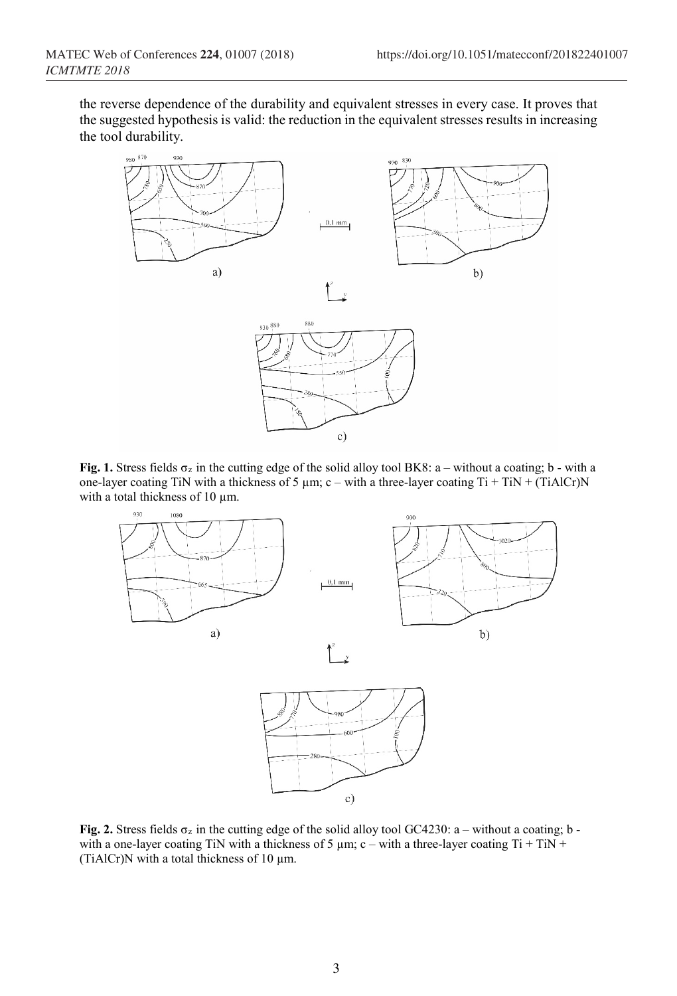the reverse dependence of the durability and equivalent stresses in every case. It proves that the suggested hypothesis is valid: the reduction in the equivalent stresses results in increasing the tool durability.



**Fig. 1.** Stress fields  $\sigma_z$  in the cutting edge of the solid alloy tool BK8: a – without a coating; b - with a one-layer coating TiN with a thickness of 5  $\mu$ m; c – with a three-layer coating Ti + TiN + (TiAlCr)N with a total thickness of 10  $\mu$ m.



**Fig. 2.** Stress fields  $\sigma_z$  in the cutting edge of the solid alloy tool GC4230: a – without a coating; b with a one-layer coating TiN with a thickness of 5  $\mu$ m; c – with a three-layer coating Ti + TiN + (TiAlCr)N with a total thickness of 10 µm.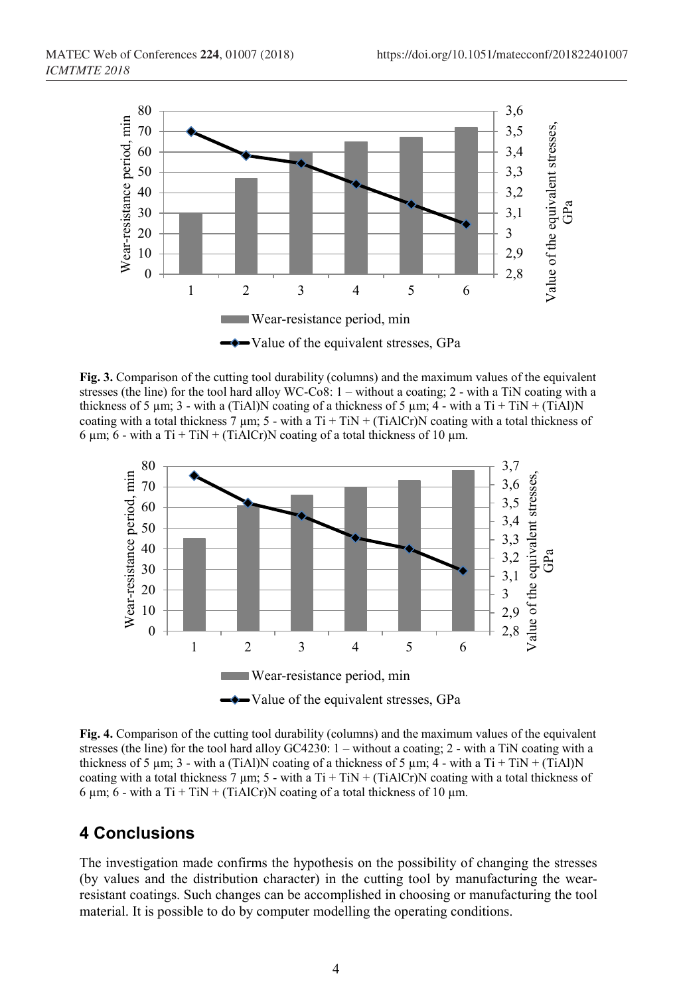

**Fig. 3.** Comparison of the cutting tool durability (columns) and the maximum values of the equivalent stresses (the line) for the tool hard alloy WC-Co8: 1 – without a coating; 2 - with a TiN coating with a thickness of 5 µm; 3 - with a (TiAl)N coating of a thickness of 5 µm; 4 - with a Ti + TiN + (TiAl)N coating with a total thickness  $\overline{7}$  µm;  $\overline{5}$  - with a  $\overline{Ti}$  +  $\overline{Ti}$  +  $\overline{(TiAlCr)}$  coating with a total thickness of 6 µm; 6 - with a Ti + TiN + (TiAlCr)N coating of a total thickness of 10 µm.



**Fig. 4.** Comparison of the cutting tool durability (columns) and the maximum values of the equivalent stresses (the line) for the tool hard alloy GC4230: 1 – without a coating; 2 - with a TiN coating with a thickness of 5  $\mu$ m; 3 - with a (TiAl)N coating of a thickness of 5  $\mu$ m; 4 - with a Ti + TiN + (TiAl)N coating with a total thickness 7  $\mu$ m; 5 - with a Ti + TiN + (TiAlCr)N coating with a total thickness of 6  $\mu$ m; 6 - with a Ti + TiN + (TiAlCr)N coating of a total thickness of 10  $\mu$ m.

## **4 Conclusions**

The investigation made confirms the hypothesis on the possibility of changing the stresses (by values and the distribution character) in the cutting tool by manufacturing the wearresistant coatings. Such changes can be accomplished in choosing or manufacturing the tool material. It is possible to do by computer modelling the operating conditions.